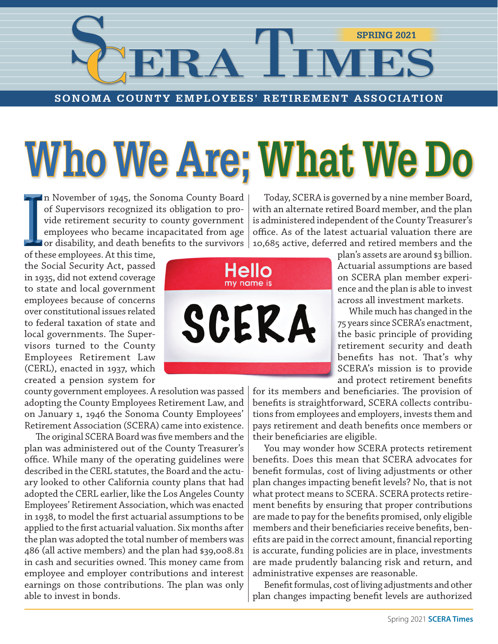# TIMES **SPRING 2021**

**SONOMA COUNTY EMPLOYEES' RETIREMENT ASSOCIATION**

# **Who We Are;What We Do**

n November of 1945, the Sonoma County Board of Supervisors recognized its obligation to provide retirement security to county government employees who became incapacitated from age  $\blacksquare$  or disability, and death benefits to the survivors  $\vert$ of Supervisors recognized if vide retirement security to employees who became into these employees. At this time,

the Social Security Act, passed in 1935, did not extend coverage to state and local government employees because of concerns over constitutional issues related to federal taxation of state and local governments. The Supervisors turned to the County Employees Retirement Law (CERL), enacted in 1937, which created a pension system for

county government employees. A resolution was passed adopting the County Employees Retirement Law, and on January 1, 1946 the Sonoma County Employees' Retirement Association (SCERA) came into existence.

The original SCERA Board was five members and the plan was administered out of the County Treasurer's office. While many of the operating guidelines were described in the CERL statutes, the Board and the actuary looked to other California county plans that had adopted the CERL earlier, like the Los Angeles County Employees' Retirement Association, which was enacted in 1938, to model the first actuarial assumptions to be applied to the first actuarial valuation. Six months after the plan was adopted the total number of members was 486 (all active members) and the plan had \$39,008.81 in cash and securities owned. This money came from employee and employer contributions and interest earnings on those contributions. The plan was only able to invest in bonds.

Hello my name is SCERA

Today, SCERA is governed by a nine member Board, with an alternate retired Board member, and the plan is administered independent of the County Treasurer's office. As of the latest actuarial valuation there are 10,685 active, deferred and retired members and the

> plan's assets are around \$3 billion. Actuarial assumptions are based on SCERA plan member experience and the plan is able to invest across all investment markets.

> While much has changed in the 75 years since SCERA's enactment, the basic principle of providing retirement security and death benefits has not. That's why SCERA's mission is to provide and protect retirement benefits

for its members and beneficiaries. The provision of benefits is straightforward, SCERA collects contributions from employees and employers, invests them and pays retirement and death benefits once members or their beneficiaries are eligible.

You may wonder how SCERA protects retirement benefits. Does this mean that SCERA advocates for benefit formulas, cost of living adjustments or other plan changes impacting benefit levels? No, that is not what protect means to SCERA. SCERA protects retirement benefits by ensuring that proper contributions are made to pay for the benefits promised, only eligible members and their beneficiaries receive benefits, benefits are paid in the correct amount, financial reporting is accurate, funding policies are in place, investments are made prudently balancing risk and return, and administrative expenses are reasonable.

Benefit formulas, cost of living adjustments and other plan changes impacting benefit levels are authorized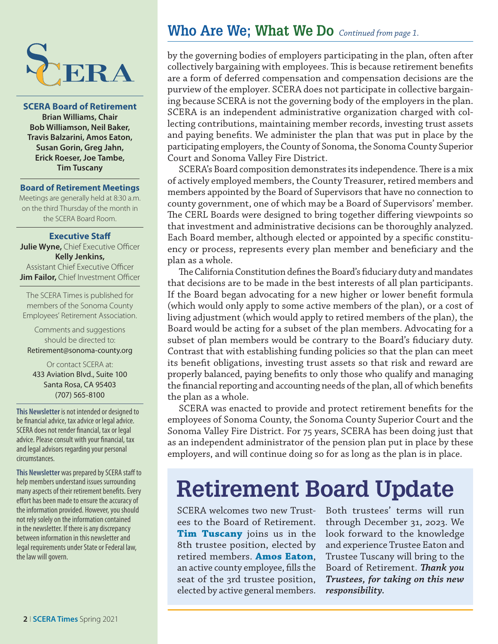

**SCERA Board of Retirement Brian Williams, Chair Bob Williamson, Neil Baker, Travis Balzarini, Amos Eaton, Susan Gorin, Greg Jahn, Erick Roeser, Joe Tambe, Tim Tuscany**

#### **Board of Retirement Meetings**

Meetings are generally held at 8:30 a.m. on the third Thursday of the month in the SCERA Board Room.

#### **Executive Staff**

**Julie Wyne, Chief Executive Officer Kelly Jenkins,**  Assistant Chief Executive Officer **Jim Failor, Chief Investment Officer** 

The SCERA Times is published for members of the Sonoma County Employees' Retirement Association.

Comments and suggestions should be directed to: Retirement@sonoma-county.org

Or contact SCERA at: 433 Aviation Blvd., Suite 100 Santa Rosa, CA 95403 (707) 565-8100

**This Newsletter** is not intended or designed to be financial advice, tax advice or legal advice. SCERA does not render financial, tax or legal advice. Please consult with your financial, tax and legal advisors regarding your personal circumstances.

**This Newsletter** was prepared by SCERA staff to help members understand issues surrounding many aspects of their retirement benefits. Every effort has been made to ensure the accuracy of the information provided. However, you should not rely solely on the information contained in the newsletter. If there is any discrepancy between information in this newsletter and legal requirements under State or Federal law, the law will govern.

### **Who Are We; What We Do** *Continued from page 1.*

by the governing bodies of employers participating in the plan, often after collectively bargaining with employees. This is because retirement benefits are a form of deferred compensation and compensation decisions are the purview of the employer. SCERA does not participate in collective bargaining because SCERA is not the governing body of the employers in the plan. SCERA is an independent administrative organization charged with collecting contributions, maintaining member records, investing trust assets and paying benefits. We administer the plan that was put in place by the participating employers, the County of Sonoma, the Sonoma County Superior Court and Sonoma Valley Fire District.

SCERA's Board composition demonstrates its independence. There is a mix of actively employed members, the County Treasurer, retired members and members appointed by the Board of Supervisors that have no connection to county government, one of which may be a Board of Supervisors' member. The CERL Boards were designed to bring together differing viewpoints so that investment and administrative decisions can be thoroughly analyzed. Each Board member, although elected or appointed by a specific constituency or process, represents every plan member and beneficiary and the plan as a whole.

The California Constitution defines the Board's fiduciary duty and mandates that decisions are to be made in the best interests of all plan participants. If the Board began advocating for a new higher or lower benefit formula (which would only apply to some active members of the plan), or a cost of living adjustment (which would apply to retired members of the plan), the Board would be acting for a subset of the plan members. Advocating for a subset of plan members would be contrary to the Board's fiduciary duty. Contrast that with establishing funding policies so that the plan can meet its benefit obligations, investing trust assets so that risk and reward are properly balanced, paying benefits to only those who qualify and managing the financial reporting and accounting needs of the plan, all of which benefits the plan as a whole.

SCERA was enacted to provide and protect retirement benefits for the employees of Sonoma County, the Sonoma County Superior Court and the Sonoma Valley Fire District. For 75 years, SCERA has been doing just that as an independent administrator of the pension plan put in place by these employers, and will continue doing so for as long as the plan is in place.

## **Retirement Board Update**

SCERA welcomes two new Trustees to the Board of Retirement. **Tim Tuscany** joins us in the 8th trustee position, elected by retired members. **Amos Eaton**, an active county employee, fills the seat of the 3rd trustee position, elected by active general members.

Both trustees' terms will run through December 31, 2023. We look forward to the knowledge and experience Trustee Eaton and Trustee Tuscany will bring to the Board of Retirement. *Thank you Trustees, for taking on this new responsibility.*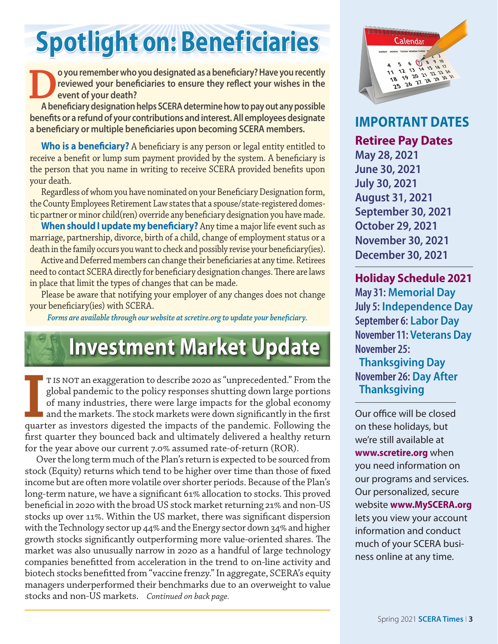## **Spotlight on: Beneficiaries**

**Do you remember who you designated as a beneficiary? Have you recently reviewed your beneficiaries to ensure they reflect your wishes in the event of your death?<br>A beneficiary designation helps SCERA determine how to pay reviewed your beneficiaries to ensure they reflect your wishes in the event of your death?**

**A beneficiary designation helps SCERA determine how to pay out any possible benefits or a refund of your contributions and interest. All employees designate a beneficiary or multiple beneficiaries upon becoming SCERA members.**

**Who is a beneficiary?** A beneficiary is any person or legal entity entitled to receive a benefit or lump sum payment provided by the system. A beneficiary is the person that you name in writing to receive SCERA provided benefits upon your death.

Regardless of whom you have nominated on your Beneficiary Designation form, the County Employees Retirement Law states that a spouse/state-registered domestic partner or minor child(ren) override any beneficiary designation you have made.

**When should I update my beneficiary?** Any time a major life event such as marriage, partnership, divorce, birth of a child, change of employment status or a death in the family occurs you want to check and possibly revise your beneficiary(ies).

Active and Deferred members can change their beneficiaries at any time. Retirees need to contact SCERA directly for beneficiary designation changes. There are laws in place that limit the types of changes that can be made.

Please be aware that notifying your employer of any changes does not change your beneficiary(ies) with SCERA.

*Forms are available through our website at scretire.org to update your beneficiary.*

## **Investment Market Update**

**I** IS NOT an exaggeration to describe 2020 as "unprecedented." From the global pandemic to the policy responses shutting down large portions of many industries, there were large impacts for the global economy and the mark t is not an exaggeration to describe 2020 as "unprecedented." From the global pandemic to the policy responses shutting down large portions of many industries, there were large impacts for the global economy  $\blacksquare$  and the markets. The stock markets were down significantly in the first first quarter they bounced back and ultimately delivered a healthy return for the year above our current 7.0% assumed rate-of-return (ROR).

Over the long term much of the Plan's return is expected to be sourced from stock (Equity) returns which tend to be higher over time than those of fixed income but are often more volatile over shorter periods. Because of the Plan's long-term nature, we have a significant 61% allocation to stocks. This proved beneficial in 2020 with the broad US stock market returning 21% and non-US stocks up over 11%. Within the US market, there was significant dispersion with the Technology sector up 44% and the Energy sector down 34% and higher growth stocks significantly outperforming more value-oriented shares. The market was also unusually narrow in 2020 as a handful of large technology companies benefitted from acceleration in the trend to on-line activity and biotech stocks benefitted from "vaccine frenzy." In aggregate, SCERA's equity managers underperformed their benchmarks due to an overweight to value stocks and non-US markets. *Continued on back page.*



**IMPORTANT DATES Retiree Pay Dates**

**May 28, 2021 June 30, 2021 July 30, 2021 August 31, 2021 September 30, 2021 October 29, 2021 November 30, 2021 December 30, 2021**

#### **Holiday Schedule 2021**

**May 31: Memorial Day July 5: Independence Day September 6: Labor Day November 11: Veterans Day November 25: Thanksgiving Day November 26: Day After**

 **Thanksgiving**

Our office will be closed on these holidays, but we're still available at **www.scretire.org** when you need information on our programs and services. Our personalized, secure website **www.MySCERA.org** lets you view your account information and conduct much of your SCERA business online at any time.